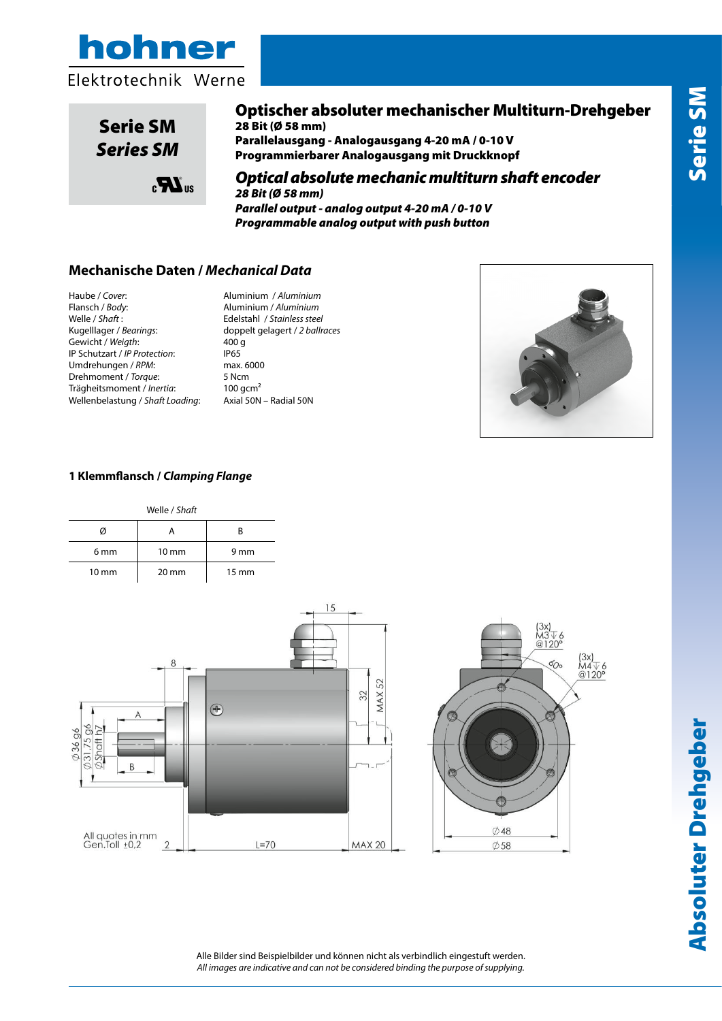





# Optischer absoluter mechanischer Multiturn-Drehgeber

28 Bit (Ø 58 mm) Parallelausgang - Analogausgang 4-20 mA / 0-10 V Programmierbarer Analogausgang mit Druckknopf

### Optical absolute mechanic multiturn shaft encoder *28 Bit (Ø 58 mm)* mediante pulsante Parallel output - analog output 4-20 mA / 0-10 V

*Programmable analog output with push button Parallel output – Analog output 4-20mA / 0-10V – Programmable analog output* 

## **Mechanische Daten /** *Mechanical Data*

Haube / *Cover*: Aluminium / *Aluminium* Welle / *Shaft* : Edelstahl / *Stainless steel* **Dati Meccanici /** *Mechanics Data* Kugelllager / *Bearings*: doppelt gelagert / *2 ballraces* Gewicht / *Weigth*: 400 g IP Schutzart / *IP Protection*: **IP65** Umdrehungen / *RPM*: max. 6000 Drehmoment / *Torque*: 5 Ncm **Cuscinetti /** *Bearings***:** 2 a sfere / *ballraces* Trägheitsmoment / *Inertia*: 100 gcm<sup>2</sup><br>Wellenbelastung / Shaft Loading: Axial 50N – Radial 50N Wellenbelastung / *Shaft Loading*: Axial 50N – Radial 50N **Peso / Weight:** 400gr **Classe protezione /** *IP Protection***:**

Flansch / *Body*: Aluminium / *Aluminium*



### 1 Klemmflansch / Clamping Flange **Carico sull'albero /Shaft Loading:**

|                 | Welle / Shaft   |                 |  |  |  |  |  |
|-----------------|-----------------|-----------------|--|--|--|--|--|
| V)              |                 | к               |  |  |  |  |  |
| 6 <sub>mm</sub> | $10 \text{ mm}$ | 9 mm            |  |  |  |  |  |
| $10 \text{ mm}$ | $20 \text{ mm}$ | $15 \text{ mm}$ |  |  |  |  |  |



# Absoluter Drehgeber Serie SM **Absoluter Drehgeber**

Alle Bilder sind Beispielbilder und können nicht als verbindlich eingestuft werden. *All images are indicative and can not be considered binding the purpose of supplying.*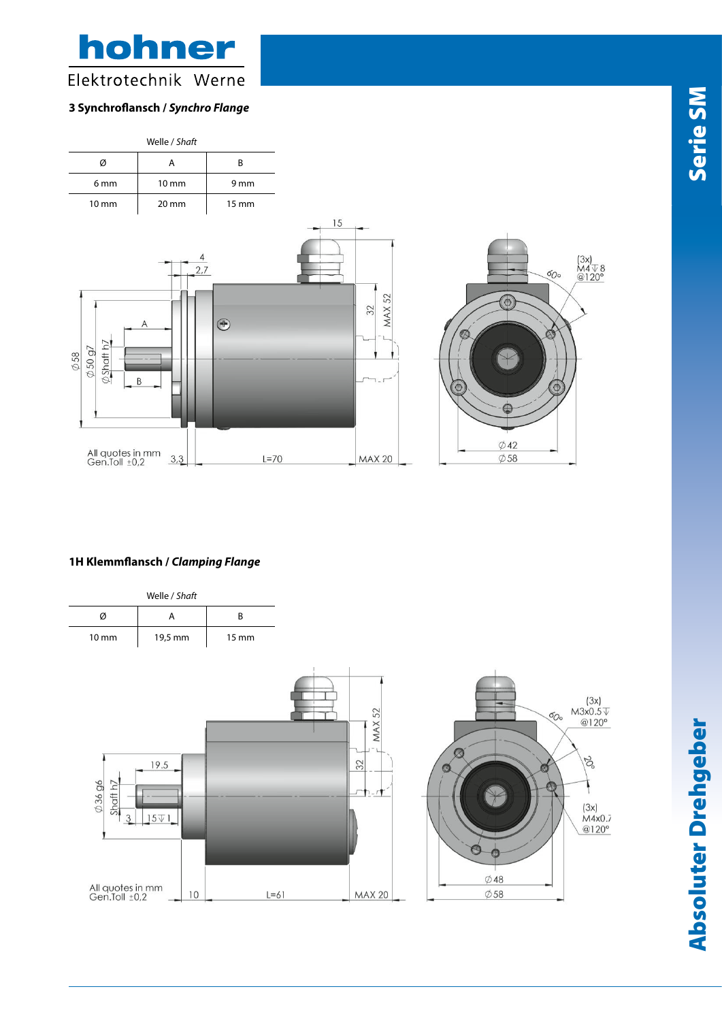hohner Elektrotechnik Werne

### **3 Synchroflansch /** *Synchro Flange*



### **1H Klemmflansch /** *Clamping Flange*



Nota: Tutte le immagini sono puramente indicative e non possono essere considerate vincolanti ai fini della fornitura

Absoluter Drehgeber Serie SM **Absoluter Drehgeber** 

www.hohner.it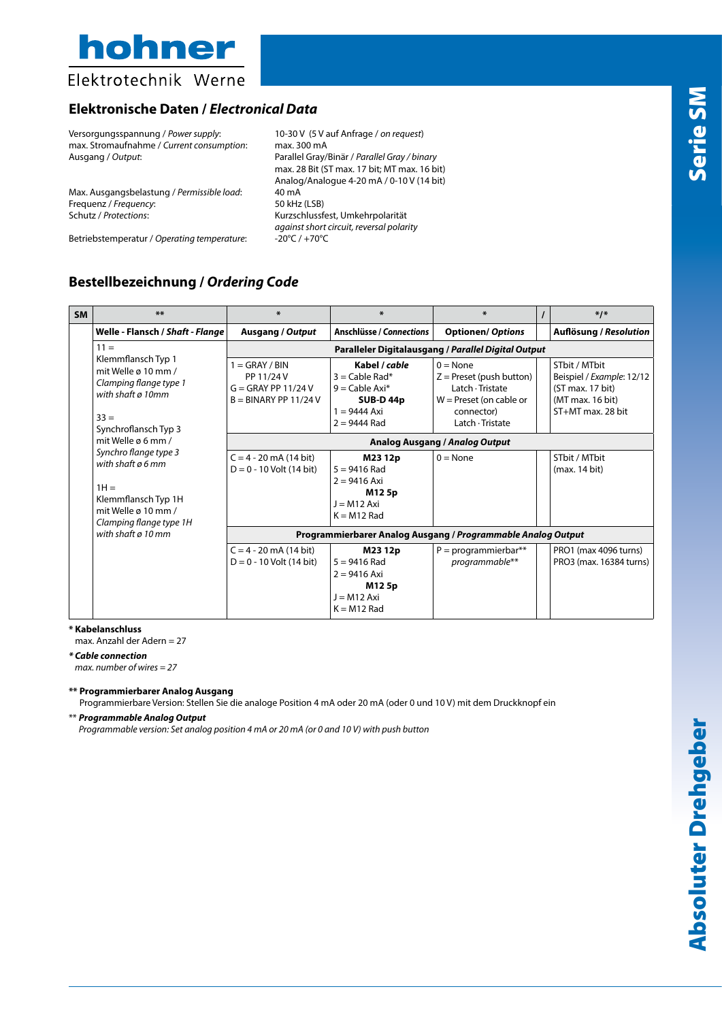

Elektrotechnik Werne

# **Elektronische Daten /** *Electronical Data*

Versorgungsspannung / *Power supply*: 10-30 V (5 V auf Anfrage / *on request*) max. Stromaufnahme / *Current consumption*: max. 300 mA

Max. Ausgangsbelastung / *Permissible load*: 40 mA<br>Frequenz / *Frequency*: 50 kHz (LSB) Frequenz / *Frequency*: Schutz / *Protections*: Kurzschlussfest, Umkehrpolarität

Ausgang / *Output*: Parallel Gray/Binär / *Parallel Gray / binary* max. 28 Bit (ST max. 17 bit; MT max. 16 bit) Analog/Analogue 4-20 mA / 0-10 V (14 bit) *against short circuit, reversal polarity*

Betriebstemperatur / *Operating temperature*:

# **Bestellbezeichnung /** *Ordering Code*

| <b>SM</b> | **                                                                                                                                                                                                                                                                                                                       | $*$                                                                                | $\ast$                                                                                                       | $\ast$                                                                                                                             |  | $*1*$                                                                                                     |  |  |  |
|-----------|--------------------------------------------------------------------------------------------------------------------------------------------------------------------------------------------------------------------------------------------------------------------------------------------------------------------------|------------------------------------------------------------------------------------|--------------------------------------------------------------------------------------------------------------|------------------------------------------------------------------------------------------------------------------------------------|--|-----------------------------------------------------------------------------------------------------------|--|--|--|
|           | Welle - Flansch / Shaft - Flange                                                                                                                                                                                                                                                                                         | <b>Ausgang / Output</b>                                                            | <b>Anschlüsse / Connections</b>                                                                              | <b>Optionen/ Options</b>                                                                                                           |  | <b>Auflösung / Resolution</b>                                                                             |  |  |  |
|           | $11 =$<br>Klemmflansch Typ 1<br>mit Welle $\alpha$ 10 mm /<br>Clamping flange type 1<br>with shaft ø 10mm<br>$33 =$<br>Synchroflansch Typ 3<br>mit Welle ø 6 mm /<br>Synchro flange type 3<br>with shaft a 6 mm<br>$1H =$<br>Klemmflansch Typ 1H<br>mit Welle ø 10 mm /<br>Clamping flange type 1H<br>with shaft ø 10 mm | Paralleler Digitalausgang / Parallel Digital Output                                |                                                                                                              |                                                                                                                                    |  |                                                                                                           |  |  |  |
|           |                                                                                                                                                                                                                                                                                                                          | $1 =$ GRAY / BIN<br>PP 11/24 V<br>$G = GRAY PP 11/24 V$<br>$B = BINARY PP 11/24 V$ | Kabel / cable<br>$3 =$ Cable Rad*<br>$9 =$ Cable Axi*<br><b>SUB-D44p</b><br>$1 = 9444$ Axi<br>$2 = 9444$ Rad | $0 = \text{None}$<br>$Z =$ Preset (push button)<br>Latch · Tristate<br>$W =$ Preset (on cable or<br>connector)<br>Latch · Tristate |  | STbit / MTbit<br>Beispiel / Example: 12/12<br>$(ST$ max. 17 bit)<br>(MT max. 16 bit)<br>ST+MT max. 28 bit |  |  |  |
|           |                                                                                                                                                                                                                                                                                                                          | Analog Ausgang / Analog Output                                                     |                                                                                                              |                                                                                                                                    |  |                                                                                                           |  |  |  |
|           |                                                                                                                                                                                                                                                                                                                          | $C = 4 - 20$ mA (14 bit)<br>$D = 0 - 10$ Volt (14 bit)                             | M2312p<br>$5 = 9416$ Rad<br>$2 = 9416$ Axi<br>M125p<br>$J = M12 Axi$<br>$K = M12$ Rad                        | $0 = \text{None}$                                                                                                                  |  | STbit / MTbit<br>(max. 14 bit)                                                                            |  |  |  |
|           |                                                                                                                                                                                                                                                                                                                          | Programmierbarer Analog Ausgang / Programmable Analog Output                       |                                                                                                              |                                                                                                                                    |  |                                                                                                           |  |  |  |
|           |                                                                                                                                                                                                                                                                                                                          | $C = 4 - 20$ mA (14 bit)<br>$D = 0 - 10$ Volt (14 bit)                             | M2312p<br>$5 = 9416$ Rad<br>$2 = 9416$ Axi<br>M125p<br>$J = M12 Axi$<br>$K = M12$ Rad                        | $P = programmierbar**$<br>programmable**                                                                                           |  | PRO1 (max 4096 turns)<br>PRO3 (max. 16384 turns)                                                          |  |  |  |

**\* Kabelanschluss** 

max. Anzahl der Adern = 27

*\* Cable connection max. number of wires = 27*

**\*\* Programmierbarer Analog Ausgang**

Programmierbare Version: Stellen Sie die analoge Position 4 mA oder 20 mA (oder 0 und 10 V) mit dem Druckknopf ein

\*\* *Programmable Analog Output* 

*Programmable version: Set analog position 4 mA or 20 mA (or 0 and 10 V) with push button*